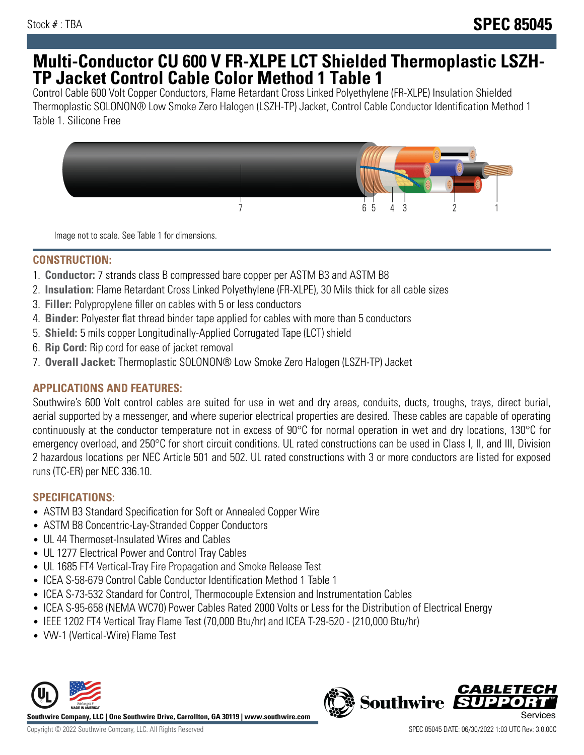# **Multi-Conductor CU 600 V FR-XLPE LCT Shielded Thermoplastic LSZH-TP Jacket Control Cable Color Method 1 Table 1**

Control Cable 600 Volt Copper Conductors, Flame Retardant Cross Linked Polyethylene (FR-XLPE) Insulation Shielded Thermoplastic SOLONON® Low Smoke Zero Halogen (LSZH-TP) Jacket, Control Cable Conductor Identification Method 1 Table 1. Silicone Free



Image not to scale. See Table 1 for dimensions.

### **CONSTRUCTION:**

- 1. **Conductor:** 7 strands class B compressed bare copper per ASTM B3 and ASTM B8
- 2. **Insulation:** Flame Retardant Cross Linked Polyethylene (FR-XLPE), 30 Mils thick for all cable sizes
- 3. **Filler:** Polypropylene filler on cables with 5 or less conductors
- 4. **Binder:** Polyester flat thread binder tape applied for cables with more than 5 conductors
- 5. **Shield:** 5 mils copper Longitudinally-Applied Corrugated Tape (LCT) shield
- 6. **Rip Cord:** Rip cord for ease of jacket removal
- 7. **Overall Jacket:** Thermoplastic SOLONON® Low Smoke Zero Halogen (LSZH-TP) Jacket

## **APPLICATIONS AND FEATURES:**

Southwire's 600 Volt control cables are suited for use in wet and dry areas, conduits, ducts, troughs, trays, direct burial, aerial supported by a messenger, and where superior electrical properties are desired. These cables are capable of operating continuously at the conductor temperature not in excess of 90°C for normal operation in wet and dry locations, 130°C for emergency overload, and 250°C for short circuit conditions. UL rated constructions can be used in Class I, II, and III, Division 2 hazardous locations per NEC Article 501 and 502. UL rated constructions with 3 or more conductors are listed for exposed runs (TC-ER) per NEC 336.10.

## **SPECIFICATIONS:**

- ASTM B3 Standard Specification for Soft or Annealed Copper Wire
- ASTM B8 Concentric-Lay-Stranded Copper Conductors
- UL 44 Thermoset-Insulated Wires and Cables
- UL 1277 Electrical Power and Control Tray Cables
- UL 1685 FT4 Vertical-Tray Fire Propagation and Smoke Release Test
- ICEA S-58-679 Control Cable Conductor Identification Method 1 Table 1
- ICEA S-73-532 Standard for Control, Thermocouple Extension and Instrumentation Cables
- ICEA S-95-658 (NEMA WC70) Power Cables Rated 2000 Volts or Less for the Distribution of Electrical Energy
- IEEE 1202 FT4 Vertical Tray Flame Test (70,000 Btu/hr) and ICEA T-29-520 (210,000 Btu/hr)
- VW-1 (Vertical-Wire) Flame Test



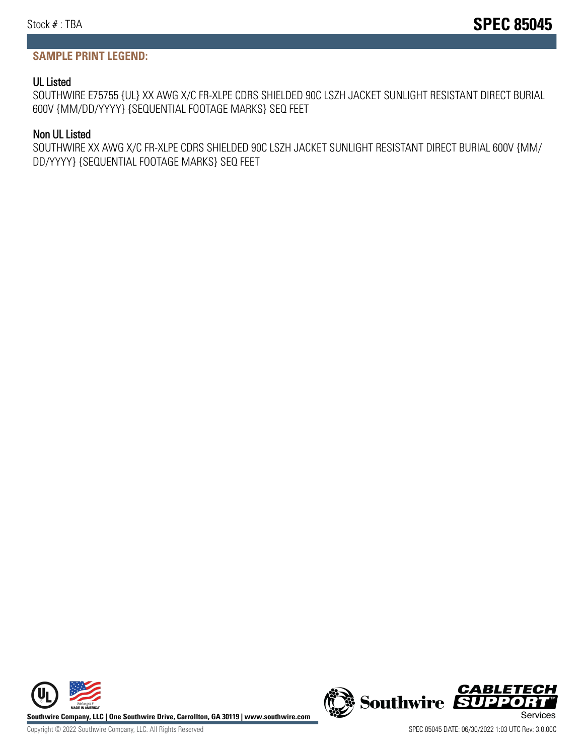#### **SAMPLE PRINT LEGEND:**

#### UL Listed

SOUTHWIRE E75755 {UL} XX AWG X/C FR-XLPE CDRS SHIELDED 90C LSZH JACKET SUNLIGHT RESISTANT DIRECT BURIAL 600V {MM/DD/YYYY} {SEQUENTIAL FOOTAGE MARKS} SEQ FEET

#### Non UL Listed

SOUTHWIRE XX AWG X/C FR-XLPE CDRS SHIELDED 90C LSZH JACKET SUNLIGHT RESISTANT DIRECT BURIAL 600V {MM/ DD/YYYY} {SEQUENTIAL FOOTAGE MARKS} SEQ FEET